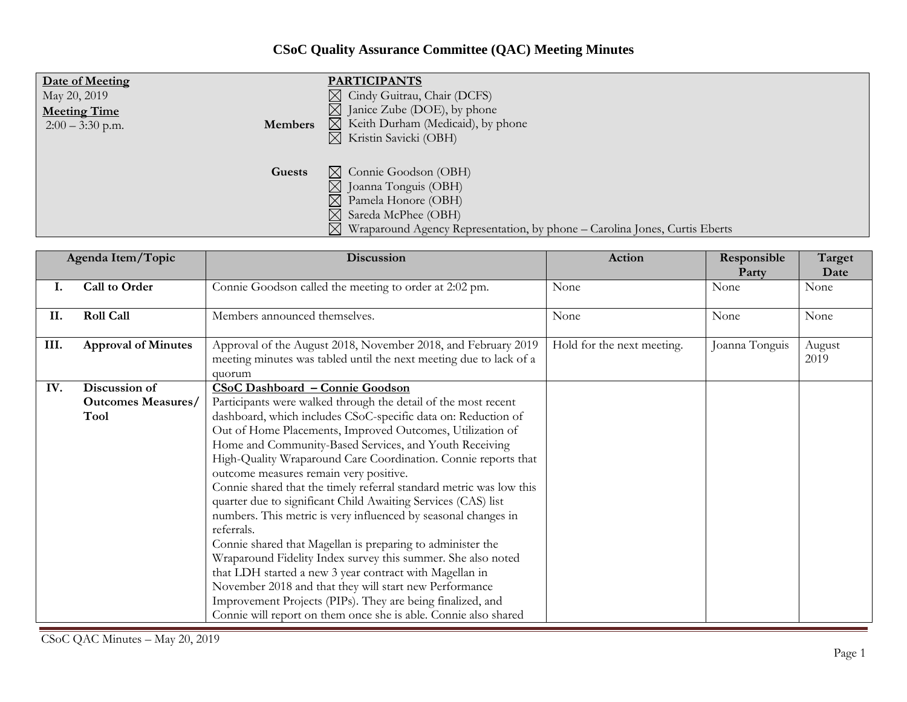## **CSoC Quality Assurance Committee (QAC) Meeting Minutes**

| Date of Meeting     | <b>PARTICIPANTS</b>                                                                                                                                                                                                                  |
|---------------------|--------------------------------------------------------------------------------------------------------------------------------------------------------------------------------------------------------------------------------------|
| May 20, 2019        | $\boxtimes$ Cindy Guitrau, Chair (DCFS)                                                                                                                                                                                              |
| <b>Meeting Time</b> | $\boxtimes$ Janice Zube (DOE), by phone                                                                                                                                                                                              |
| <b>Members</b>      | $\boxtimes$ Keith Durham (Medicaid), by phone                                                                                                                                                                                        |
| $2:00 - 3:30$ p.m.  | $\boxtimes$ Kristin Savicki (OBH)                                                                                                                                                                                                    |
| Guests              | $\boxtimes$ Connie Goodson (OBH)<br>$\boxtimes$ Joanna Tonguis (OBH)<br>$\boxtimes$ Pamela Honore (OBH)<br>$\boxtimes$ Sareda McPhee (OBH)<br>$\boxtimes$ Wraparound Agency Representation, by phone – Carolina Jones, Curtis Eberts |

| Agenda Item/Topic |                            | <b>Discussion</b>                                                                                                                             | Action                     | Responsible<br>Party | Target<br>Date |
|-------------------|----------------------------|-----------------------------------------------------------------------------------------------------------------------------------------------|----------------------------|----------------------|----------------|
| I.                | Call to Order              | Connie Goodson called the meeting to order at 2:02 pm.                                                                                        | None                       | None                 | None           |
| П.                | <b>Roll Call</b>           | Members announced themselves.                                                                                                                 | None                       | None                 | None           |
| III.              | <b>Approval of Minutes</b> | Approval of the August 2018, November 2018, and February 2019<br>meeting minutes was tabled until the next meeting due to lack of a<br>quorum | Hold for the next meeting. | Joanna Tonguis       | August<br>2019 |
| IV.               | Discussion of              | <b>CSoC Dashboard - Connie Goodson</b>                                                                                                        |                            |                      |                |
|                   | <b>Outcomes Measures/</b>  | Participants were walked through the detail of the most recent                                                                                |                            |                      |                |
|                   | <b>Tool</b>                | dashboard, which includes CSoC-specific data on: Reduction of                                                                                 |                            |                      |                |
|                   |                            | Out of Home Placements, Improved Outcomes, Utilization of                                                                                     |                            |                      |                |
|                   |                            | Home and Community-Based Services, and Youth Receiving                                                                                        |                            |                      |                |
|                   |                            | High-Quality Wraparound Care Coordination. Connie reports that                                                                                |                            |                      |                |
|                   |                            | outcome measures remain very positive.                                                                                                        |                            |                      |                |
|                   |                            | Connie shared that the timely referral standard metric was low this                                                                           |                            |                      |                |
|                   |                            | quarter due to significant Child Awaiting Services (CAS) list                                                                                 |                            |                      |                |
|                   |                            | numbers. This metric is very influenced by seasonal changes in<br>referrals.                                                                  |                            |                      |                |
|                   |                            | Connie shared that Magellan is preparing to administer the                                                                                    |                            |                      |                |
|                   |                            | Wraparound Fidelity Index survey this summer. She also noted                                                                                  |                            |                      |                |
|                   |                            | that LDH started a new 3 year contract with Magellan in                                                                                       |                            |                      |                |
|                   |                            | November 2018 and that they will start new Performance                                                                                        |                            |                      |                |
|                   |                            | Improvement Projects (PIPs). They are being finalized, and                                                                                    |                            |                      |                |
|                   |                            | Connie will report on them once she is able. Connie also shared                                                                               |                            |                      |                |